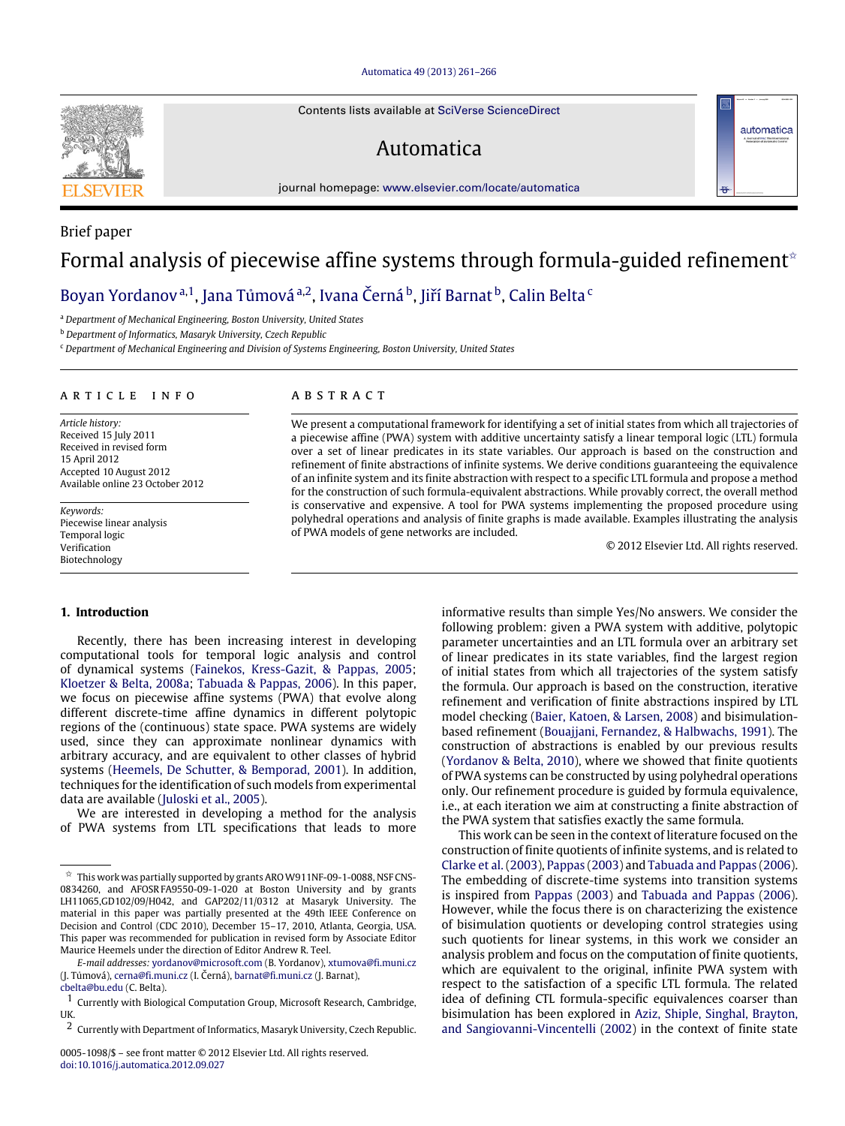#### [Automatica 49 \(2013\) 261–266](http://dx.doi.org/10.1016/j.automatica.2012.09.027)

Contents lists available at [SciVerse ScienceDirect](http://www.elsevier.com/locate/automatica)

# Automatica

journal homepage: [www.elsevier.com/locate/automatica](http://www.elsevier.com/locate/automatica)

# Brief paper Formal analysis of piecewise affine systems through formula-guided refinement<sup> $\star$ </sup>

## [Boyan Yordanov](#page-5-0)<sup>[a,](#page-0-1)[1](#page-0-2)</sup>, [Jana Tůmová](#page-5-1) <sup>[a](#page-0-1)[,2](#page-0-3)</sup>, [Ivana Černá](#page-5-2) <sup>[b](#page-0-4)</sup>, [Jiří Barnat](#page-5-3) <sup>b</sup>, [Calin Belta](#page-5-4) <sup>[c](#page-0-5)</sup>

<span id="page-0-1"></span><sup>a</sup> *Department of Mechanical Engineering, Boston University, United States*

<span id="page-0-4"></span><sup>b</sup> *Department of Informatics, Masaryk University, Czech Republic*

<span id="page-0-5"></span><sup>c</sup> *Department of Mechanical Engineering and Division of Systems Engineering, Boston University, United States*

#### ARTICLE INFO

*Article history:* Received 15 July 2011 Received in revised form 15 April 2012 Accepted 10 August 2012 Available online 23 October 2012

*Keywords:* Piecewise linear analysis Temporal logic Verification Biotechnology

## A B S T R A C T

We present a computational framework for identifying a set of initial states from which all trajectories of a piecewise affine (PWA) system with additive uncertainty satisfy a linear temporal logic (LTL) formula over a set of linear predicates in its state variables. Our approach is based on the construction and refinement of finite abstractions of infinite systems. We derive conditions guaranteeing the equivalence of an infinite system and its finite abstraction with respect to a specific LTL formula and propose a method for the construction of such formula-equivalent abstractions. While provably correct, the overall method is conservative and expensive. A tool for PWA systems implementing the proposed procedure using polyhedral operations and analysis of finite graphs is made available. Examples illustrating the analysis of PWA models of gene networks are included.

© 2012 Elsevier Ltd. All rights reserved.

automatica

#### **1. Introduction**

Recently, there has been increasing interest in developing computational tools for temporal logic analysis and control of dynamical systems [\(Fainekos,](#page-4-0) [Kress-Gazit,](#page-4-0) [&](#page-4-0) [Pappas,](#page-4-0) [2005;](#page-4-0) [Kloetzer](#page-4-1) [&](#page-4-1) [Belta,](#page-4-1) [2008a;](#page-4-1) [Tabuada](#page-5-5) [&](#page-5-5) [Pappas,](#page-5-5) [2006\)](#page-5-5). In this paper, we focus on piecewise affine systems (PWA) that evolve along different discrete-time affine dynamics in different polytopic regions of the (continuous) state space. PWA systems are widely used, since they can approximate nonlinear dynamics with arbitrary accuracy, and are equivalent to other classes of hybrid systems [\(Heemels,](#page-4-2) [De](#page-4-2) [Schutter,](#page-4-2) [&](#page-4-2) [Bemporad,](#page-4-2) [2001\)](#page-4-2). In addition, techniques for the identification of such models from experimental data are available [\(Juloski](#page-4-3) [et al.,](#page-4-3) [2005\)](#page-4-3).

We are interested in developing a method for the analysis of PWA systems from LTL specifications that leads to more informative results than simple Yes/No answers. We consider the following problem: given a PWA system with additive, polytopic parameter uncertainties and an LTL formula over an arbitrary set of linear predicates in its state variables, find the largest region of initial states from which all trajectories of the system satisfy the formula. Our approach is based on the construction, iterative refinement and verification of finite abstractions inspired by LTL model checking [\(Baier,](#page-4-4) [Katoen,](#page-4-4) [&](#page-4-4) [Larsen,](#page-4-4) [2008\)](#page-4-4) and bisimulationbased refinement [\(Bouajjani,](#page-4-5) [Fernandez,](#page-4-5) [&](#page-4-5) [Halbwachs,](#page-4-5) [1991\)](#page-4-5). The construction of abstractions is enabled by our previous results [\(Yordanov](#page-5-6) [&](#page-5-6) [Belta,](#page-5-6) [2010\)](#page-5-6), where we showed that finite quotients of PWA systems can be constructed by using polyhedral operations only. Our refinement procedure is guided by formula equivalence, i.e., at each iteration we aim at constructing a finite abstraction of the PWA system that satisfies exactly the same formula.

This work can be seen in the context of literature focused on the construction of finite quotients of infinite systems, and is related to [Clarke](#page-4-6) [et al.](#page-4-6) [\(2003\)](#page-4-6), [Pappas](#page-5-7) [\(2003\)](#page-5-7) and [Tabuada](#page-5-5) [and](#page-5-5) [Pappas](#page-5-5) [\(2006\)](#page-5-5). The embedding of discrete-time systems into transition systems is inspired from [Pappas](#page-5-7) [\(2003\)](#page-5-7) and [Tabuada](#page-5-5) [and](#page-5-5) [Pappas](#page-5-5) [\(2006\)](#page-5-5). However, while the focus there is on characterizing the existence of bisimulation quotients or developing control strategies using such quotients for linear systems, in this work we consider an analysis problem and focus on the computation of finite quotients, which are equivalent to the original, infinite PWA system with respect to the satisfaction of a specific LTL formula. The related idea of defining CTL formula-specific equivalences coarser than bisimulation has been explored in [Aziz,](#page-4-7) [Shiple,](#page-4-7) [Singhal,](#page-4-7) [Brayton,](#page-4-7) [and](#page-4-7) [Sangiovanni-Vincentelli](#page-4-7) [\(2002\)](#page-4-7) in the context of finite state



<span id="page-0-0"></span> $\overrightarrow{x}$  This work was partially supported by grants ARO W911NF-09-1-0088, NSF CNS-0834260, and AFOSR FA9550-09-1-020 at Boston University and by grants LH11065,GD102/09/H042, and GAP202/11/0312 at Masaryk University. The material in this paper was partially presented at the 49th IEEE Conference on Decision and Control (CDC 2010), December 15–17, 2010, Atlanta, Georgia, USA. This paper was recommended for publication in revised form by Associate Editor Maurice Heemels under the direction of Editor Andrew R. Teel.

*E-mail addresses:* [yordanov@microsoft.com](mailto:yordanov@microsoft.com) (B. Yordanov), [xtumova@fi.muni.cz](mailto:xtumova@fi.muni.cz) (J. Tůmová), [cerna@fi.muni.cz](mailto:cerna@fi.muni.cz) (I. Černá), [barnat@fi.muni.cz](mailto:barnat@fi.muni.cz) (J. Barnat), [cbelta@bu.edu](mailto:cbelta@bu.edu) (C. Belta).

<span id="page-0-2"></span><sup>1</sup> Currently with Biological Computation Group, Microsoft Research, Cambridge, UK.

<span id="page-0-3"></span><sup>2</sup> Currently with Department of Informatics, Masaryk University, Czech Republic.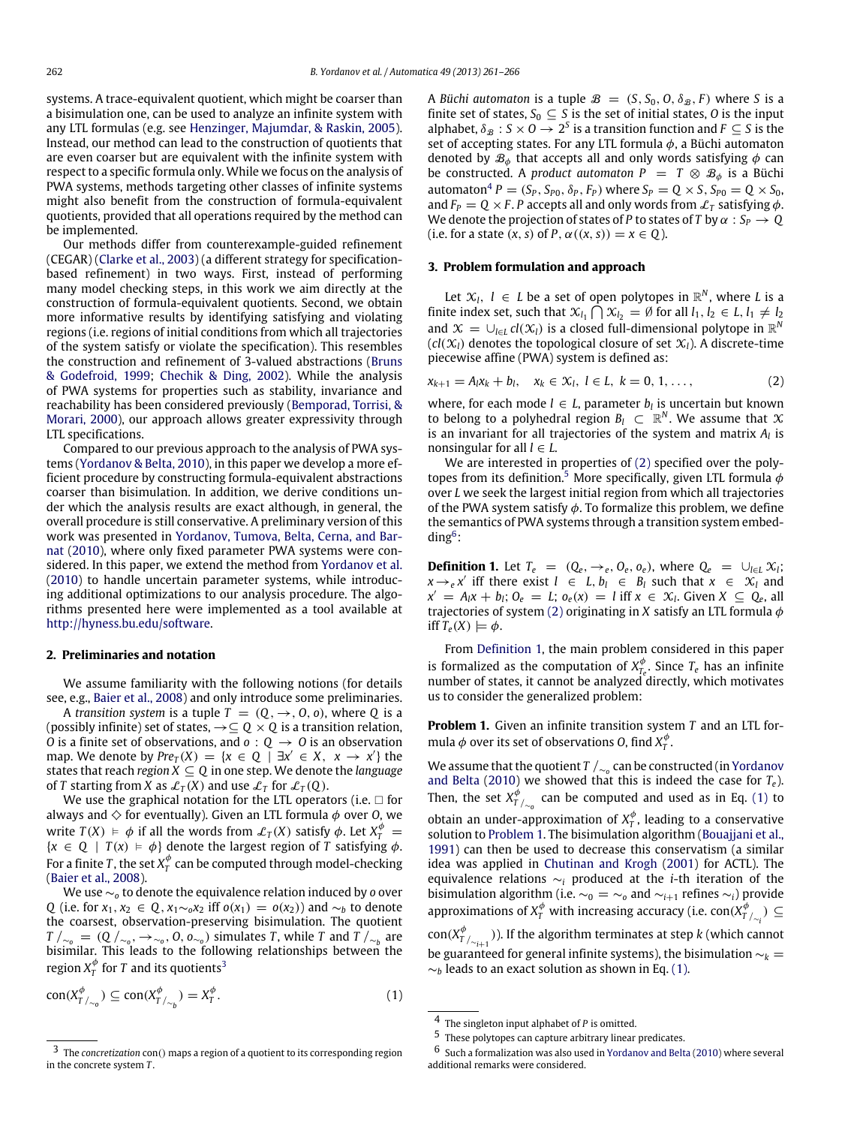systems. A trace-equivalent quotient, which might be coarser than a bisimulation one, can be used to analyze an infinite system with any LTL formulas (e.g. see [Henzinger,](#page-4-8) [Majumdar,](#page-4-8) [&](#page-4-8) [Raskin,](#page-4-8) [2005\)](#page-4-8). Instead, our method can lead to the construction of quotients that are even coarser but are equivalent with the infinite system with respect to a specific formula only. While we focus on the analysis of PWA systems, methods targeting other classes of infinite systems might also benefit from the construction of formula-equivalent quotients, provided that all operations required by the method can be implemented.

Our methods differ from counterexample-guided refinement (CEGAR) [\(Clarke](#page-4-6) [et al.,](#page-4-6) [2003\)](#page-4-6) (a different strategy for specificationbased refinement) in two ways. First, instead of performing many model checking steps, in this work we aim directly at the construction of formula-equivalent quotients. Second, we obtain more informative results by identifying satisfying and violating regions (i.e. regions of initial conditions from which all trajectories of the system satisfy or violate the specification). This resembles the construction and refinement of 3-valued abstractions [\(Bruns](#page-4-9) [&](#page-4-9) [Godefroid,](#page-4-9) [1999;](#page-4-9) [Chechik](#page-4-10) [&](#page-4-10) [Ding,](#page-4-10) [2002\)](#page-4-10). While the analysis of PWA systems for properties such as stability, invariance and reachability has been considered previously [\(Bemporad,](#page-4-11) [Torrisi,](#page-4-11) [&](#page-4-11) [Morari,](#page-4-11) [2000\)](#page-4-11), our approach allows greater expressivity through LTL specifications.

Compared to our previous approach to the analysis of PWA systems [\(Yordanov](#page-5-6) [&](#page-5-6) [Belta,](#page-5-6) [2010\)](#page-5-6), in this paper we develop a more efficient procedure by constructing formula-equivalent abstractions coarser than bisimulation. In addition, we derive conditions under which the analysis results are exact although, in general, the overall procedure is still conservative. A preliminary version of this [w](#page-5-8)ork was presented in [Yordanov,](#page-5-8) [Tumova,](#page-5-8) [Belta,](#page-5-8) [Cerna,](#page-5-8) [and](#page-5-8) [Bar](#page-5-8)[nat](#page-5-8) [\(2010\)](#page-5-8), where only fixed parameter PWA systems were considered. In this paper, we extend the method from [Yordanov](#page-5-8) [et al.](#page-5-8) [\(2010\)](#page-5-8) to handle uncertain parameter systems, while introducing additional optimizations to our analysis procedure. The algorithms presented here were implemented as a tool available at [http://hyness.bu.edu/software.](http://hyness.bu.edu/software)

#### **2. Preliminaries and notation**

We assume familiarity with the following notions (for details see, e.g., [Baier](#page-4-4) [et al.,](#page-4-4) [2008\)](#page-4-4) and only introduce some preliminaries.

A *transition system* is a tuple  $T = (Q, \rightarrow, 0, o)$ , where Q is a (possibly infinite) set of states, →⊆ *Q* × *Q* is a transition relation, *O* is a finite set of observations, and  $o: Q \rightarrow O$  is an observation map. We denote by  $Pre_T(X) = \{x \in Q \mid \exists x' \in X, x \rightarrow x'\}$  the states that reach *region X* ⊆ *Q* in one step. We denote the *language* of *T* starting from *X* as  $\mathcal{L}_T(X)$  and use  $\mathcal{L}_T$  for  $\mathcal{L}_T(Q)$ .

We use the graphical notation for the LTL operators (i.e.  $\Box$  for always and  $\diamondsuit$  for eventually). Given an LTL formula  $\phi$  over *O*, we write  $T(X) \models \phi$  if all the words from  $\mathcal{L}_T(X)$  satisfy  $\phi$ . Let  $X_T^{\phi} =$  ${x \in Q \mid T(x) \models \phi}$  denote the largest region of *T* satisfying  $\phi$ . For a finite T, the set  $X_T^\phi$  can be computed through model-checking [\(Baier](#page-4-4) [et al.,](#page-4-4) [2008\)](#page-4-4).

We use ∼*<sup>o</sup>* to denote the equivalence relation induced by *o* over *Q* (i.e. for *x*<sub>1</sub>, *x*<sub>2</sub> ∈ *Q*, *x*<sub>1</sub>∼<sub>*o</sub>x*<sub>2</sub> iff *o*(*x*<sub>1</sub>) = *o*(*x*<sub>2</sub>)) and ∼*b* to denote</sub> the coarsest, observation-preserving bisimulation. The quotient  $T / \sim_o = (Q / \sim_o, \rightarrow \sim_o, 0, o_{\sim_o})$  simulates *T*, while *T* and *T* /<sub>∼*b*</sub> are bisimilar. This leads to the following relationships between the region  $X_T^\phi$  for  $T$  and its quotients<sup>[3](#page-1-0)</sup>

$$
con(X_{T/_{\sim_0}}^{\phi}) \subseteq con(X_{T/_{\sim_b}}^{\phi}) = X_T^{\phi}.
$$
\n<sup>(1)</sup>

A *Büchi automaton* is a tuple  $\mathcal{B} = (S, S_0, O, \delta_{\mathcal{B}}, F)$  where *S* is a finite set of states,  $S_0 \subseteq S$  is the set of initial states, O is the input alphabet,  $\delta_{\mathcal{B}} : S \times O \rightarrow 2^S$  is a transition function and  $F \subseteq S$  is the set of accepting states. For any LTL formula  $\phi$ , a Büchi automaton denoted by  $\mathcal{B}_{\phi}$  that accepts all and only words satisfying  $\phi$  can be constructed. A *product automaton*  $P = T \otimes B_{\phi}$  is a Büchi automaton<sup>[4](#page-1-1)</sup>  $P = (S_P, S_{P0}, \delta_P, F_P)$  where  $S_P = Q \times S$ ,  $S_{P0} = Q \times S_0$ , and  $F_P = Q \times F$ . *P* accepts all and only words from  $\mathcal{L}_T$  satisfying  $\phi$ . We denote the projection of states of *P* to states of *T* by  $\alpha : S_P \to Q$ (i.e. for a state  $(x, s)$  of  $P$ ,  $\alpha((x, s)) = x \in Q$ ).

#### **3. Problem formulation and approach**

Let  $\mathcal{X}_l$ ,  $l \in L$  be a set of open polytopes in  $\mathbb{R}^N$ , where L is a finite index set, such that  $\mathcal{X}_{l_1} \cap \mathcal{X}_{l_2} = \emptyset$  for all  $l_1, l_2 \in L$ ,  $l_1 \neq l_2$ and  $\mathcal{X} = \bigcup_{l \in L} cl(\mathcal{X}_l)$  is a closed full-dimensional polytope in  $\mathbb{R}^N$  $(cl(X_l)$  denotes the topological closure of set  $X_l$ ). A discrete-time piecewise affine (PWA) system is defined as:

<span id="page-1-2"></span>
$$
x_{k+1} = A_l x_k + b_l, \quad x_k \in \mathcal{X}_l, \ l \in L, \ k = 0, 1, \ldots,
$$
 (2)

where, for each mode  $l \in L$ , parameter  $b_l$  is uncertain but known to belong to a polyhedral region  $B_l \subset \mathbb{R}^N$ . We assume that  $X$ is an invariant for all trajectories of the system and matrix *A<sup>l</sup>* is nonsingular for all  $l \in L$ .

We are interested in properties of [\(2\)](#page-1-2) specified over the poly-topes from its definition.<sup>[5](#page-1-3)</sup> More specifically, given LTL formula  $\phi$ over *L* we seek the largest initial region from which all trajectories of the PWA system satisfy  $\phi$ . To formalize this problem, we define the semantics of PWA systems through a transition system embedding[6](#page-1-4) :

<span id="page-1-5"></span>**Definition 1.** Let  $T_e = (Q_e, \rightarrow_e, Q_e, o_e)$ , where  $Q_e = \bigcup_{l \in L} \mathcal{X}_l$ ;  $x \rightarrow e^x$  iff there exist  $l \in L$ ,  $b_l \in B_l$  such that  $x \in X_l$  and  $x' = A_l x + b_l; O_e = L; o_e(x) = l$  iff  $x \in X_l$ . Given  $X \subseteq Q_e$ , all trajectories of system [\(2\)](#page-1-2) originating in *X* satisfy an LTL formula  $\phi$ iff  $T_e(X) \models \phi$ .

From [Definition 1,](#page-1-5) the main problem considered in this paper is formalized as the computation of  $X_{T_e}^{\phi}$ . Since  $T_e$  has an infinite number of states, it cannot be analyzed directly, which motivates us to consider the generalized problem:

<span id="page-1-7"></span>**Problem 1.** Given an infinite transition system *T* and an LTL formula  $\phi$  over its set of observations 0, find  $X_T^{\phi}$ .

We assume that the quotient *T* /<sup>∼</sup>*<sup>o</sup>* can be constructed (in [Yordanov](#page-5-6) [and](#page-5-6) [Belta](#page-5-6) [\(2010\)](#page-5-6) we showed that this is indeed the case for *Te*). Then, the set  $X_{T/\sim_o}^{\phi}$  can be computed and used as in Eq. [\(1\)](#page-1-6) to obtain an under-approximation of  $X_T^{\phi}$ , leading to a conservative solution to [Problem 1.](#page-1-7) The bisimulation algorithm [\(Bouajjani](#page-4-5) [et al.,](#page-4-5) [1991\)](#page-4-5) can then be used to decrease this conservatism (a similar idea was applied in [Chutinan](#page-4-12) [and](#page-4-12) [Krogh](#page-4-12) [\(2001\)](#page-4-12) for ACTL). The equivalence relations ∼*<sup>i</sup>* produced at the *i*-th iteration of the bisimulation algorithm (i.e.  $\sim_0 = \sim_o$  and  $\sim_{i+1}$  refines  $\sim_i$ ) provide approximations of  $X_T^{\phi}$  with increasing accuracy (i.e. con $(X_{T/_{\sim_i}}^{\phi}) \subseteq$ 

con(*X* φ *<sup>T</sup>* /∼*i*+<sup>1</sup> )). If the algorithm terminates at step *k* (which cannot be guaranteed for general infinite systems), the bisimulation ∼*<sup>k</sup>* =  $\sim_b$  leads to an exact solution as shown in Eq. [\(1\).](#page-1-6)

<span id="page-1-0"></span><sup>3</sup> The *concretization* con() maps a region of a quotient to its corresponding region in the concrete system *T* .

<span id="page-1-6"></span><span id="page-1-1"></span><sup>4</sup> The singleton input alphabet of *P* is omitted.

<span id="page-1-3"></span><sup>5</sup> These polytopes can capture arbitrary linear predicates.

<span id="page-1-4"></span><sup>6</sup> Such a formalization was also used in [Yordanov](#page-5-6) [and](#page-5-6) [Belta](#page-5-6) [\(2010\)](#page-5-6) where several additional remarks were considered.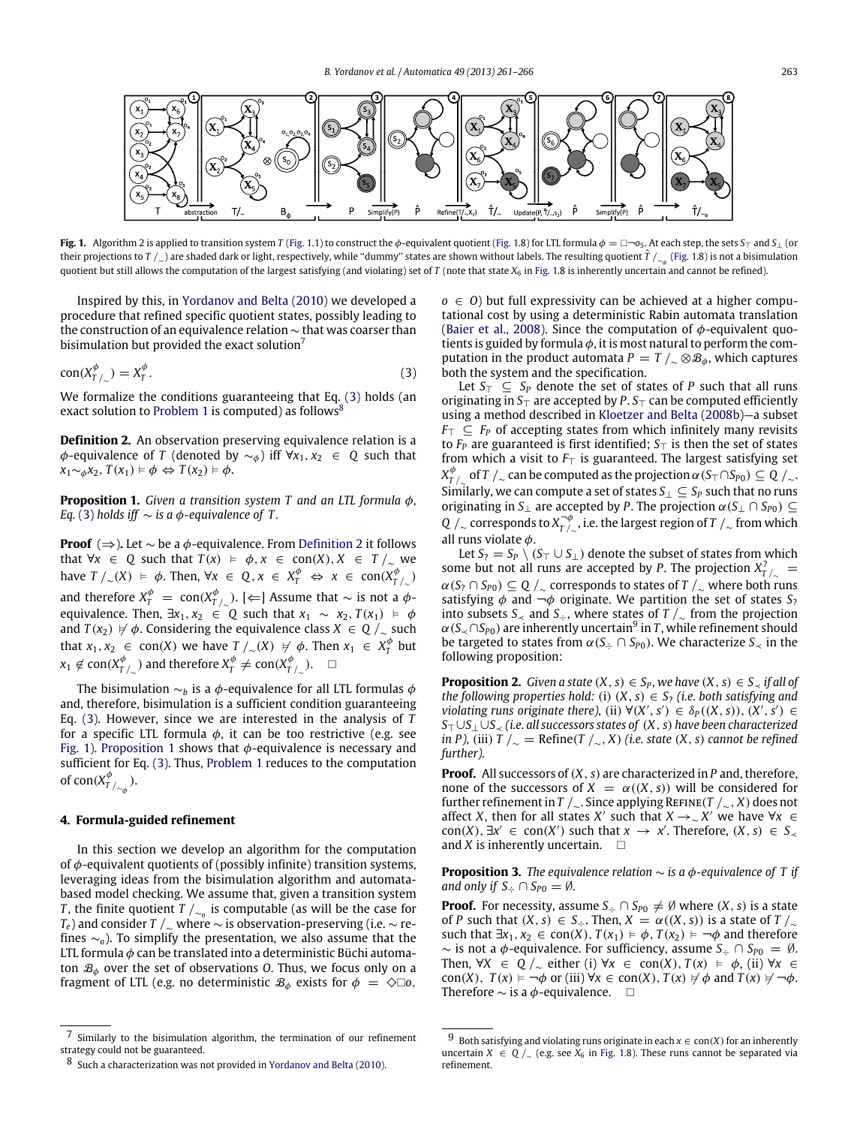<span id="page-2-0"></span>

**Fig. 1.** Algorithm 2 is applied to transition system *T* [\(Fig. 1.](#page-2-0)1) to construct the  $\phi$ -equivalent quotient (Fig. 1.8) for LTL formula  $\phi = \Box \neg o_5$ . At each step, the sets  $S_T$  and  $S_T$  (or their projections to *T |*<sub>∼</sub>) are shaded dark or light, respectively, while "dummy" states are shown without labels. The resulting quotient  $\hat T$  /<sub>∼φ</sub> [\(Fig. 1.](#page-2-0)8) is not a bisimulation quotient but still allows the computation of the largest satisfying (and violating) set of *T* (note that state  $X_6$  in [Fig. 1.](#page-2-0)8 is inherently uncertain and cannot be refined).

Inspired by this, in [Yordanov](#page-5-6) [and](#page-5-6) [Belta](#page-5-6) [\(2010\)](#page-5-6) we developed a procedure that refined specific quotient states, possibly leading to the construction of an equivalence relation ∼ that was coarser than bisimulation but provided the exact solution<sup>[7](#page-2-1)</sup>

$$
con(X_{T/\sim}^{\phi}) = X_{T}^{\phi}.
$$
\n(3)

We formalize the conditions guaranteeing that Eq. [\(3\)](#page-2-2) holds (an exact solution to [Problem 1](#page-1-7) is computed) as follows $\frac{8}{3}$  $\frac{8}{3}$  $\frac{8}{3}$ 

<span id="page-2-4"></span>**Definition 2.** An observation preserving equivalence relation is a  $\phi$ -equivalence of *T* (denoted by  $\sim_{\phi}$ ) iff ∀*x*<sub>1</sub>, *x*<sub>2</sub> ∈ *Q* such that *x*<sub>1</sub>∼ $\phi$ *x*<sub>2</sub>, *T*(*x*<sub>1</sub>)  $\models \phi \Leftrightarrow T(x_2) \models \phi$ .

<span id="page-2-5"></span>**Proposition 1.** *Given a transition system T and an LTL formula* φ*, Eq.* [\(3\)](#page-2-2) *holds iff*  $\sim$  *is a*  $\phi$ *-equivalence of T.* 

**Proof** (⇒)**.** Let ∼ be a φ-equivalence. From [Definition 2](#page-2-4) it follows that  $\forall x \in Q$  such that  $T(x) \models \phi, x \in \text{con}(X), X \in T /_{\sim}$  we  $\Delta$  *h*ave *T* /∼(*X*)  $\models$   $\phi$ . Then, ∀*x* ∈ *Q*, *x* ∈ *X*<sub>*f*</sub><sup> $\phi$ </sup>  $\Rightarrow$  *x* ∈ *con*(*X*<sub>*f*<sup> $\phi$ </sup>)  $\sim$ </sub> and therefore  $X^\phi_T\;=\;{\rm con}(X^\phi_{T/_{\sim}}).$  [ $\Leftarrow$ ] Assume that  $\sim$  is not a  $\phi$ equivalence. Then,  $\exists x_1, x_2 \in \mathbb{Q}$  such that  $x_1 \sim x_2, T(x_1) \models \phi$ and  $T(x_2) \nvDash \phi$ . Considering the equivalence class  $X \in \mathbb{Q}/\mathbb{Z}$  such that  $x_1, x_2 \in \text{con}(X)$  we have  $T /_{\sim}(X) \neq \emptyset$ . Then  $x_1 \in X_T^{\emptyset}$  but  $x_1 \not\in \textnormal{con}(X_{T/\sim}^{\phi})$  and therefore  $X_{T}^{\phi} \neq \textnormal{con}(X_{T/\sim}^{\phi})$ .  $\quad \Box$ 

The bisimulation  $\sim_b$  is a  $\phi$ -equivalence for all LTL formulas  $\phi$ and, therefore, bisimulation is a sufficient condition guaranteeing Eq. [\(3\).](#page-2-2) However, since we are interested in the analysis of *T* for a specific LTL formula  $\phi$ , it can be too restrictive (e.g. see [Fig. 1\)](#page-2-0). [Proposition 1](#page-2-5) shows that  $\phi$ -equivalence is necessary and sufficient for Eq. [\(3\).](#page-2-2) Thus, [Problem 1](#page-1-7) reduces to the computation of con( $X_{T/\sim_{\phi}}^{\phi}$ ).

### <span id="page-2-8"></span>**4. Formula-guided refinement**

In this section we develop an algorithm for the computation of  $\phi$ -equivalent quotients of (possibly infinite) transition systems, leveraging ideas from the bisimulation algorithm and automatabased model checking. We assume that, given a transition system *T*, the finite quotient *T* /<sub>∼o</sub> is computable (as will be the case for *T*<sub>*e*</sub>) and consider *T* /<sub>∼</sub> where  $\sim$  is observation-preserving (i.e.  $\sim$  refines ∼*o*). To simplify the presentation, we also assume that the LTL formula  $\phi$  can be translated into a deterministic Büchi automaton  $\mathcal{B}_{\phi}$  over the set of observations *O*. Thus, we focus only on a fragment of LTL (e.g. no deterministic  $\mathcal{B}_{\phi}$  exists for  $\phi = \diamond \Box$ o,  $\rho \in O$ ) but full expressivity can be achieved at a higher computational cost by using a deterministic Rabin automata translation [\(Baier](#page-4-4) [et al.,](#page-4-4) [2008\)](#page-4-4). Since the computation of  $\phi$ -equivalent quotients is guided by formula  $\phi$ , it is most natural to perform the computation in the product automata *P* = *T* /<sub>∼</sub> ⊗ $\mathcal{B}_{\phi}$ , which captures both the system and the specification.

<span id="page-2-2"></span>Let *S*<sup>⊤</sup> ⊆ *S<sup>P</sup>* denote the set of states of *P* such that all runs originating in *S*⊤ are accepted by *P*. *S*⊤ can be computed efficiently using a method described in [Kloetzer](#page-4-13) [and](#page-4-13) [Belta](#page-4-13) [\(2008b\)](#page-4-13)—a subset *F*<sup>⊤</sup> ⊆ *F<sup>P</sup>* of accepting states from which infinitely many revisits to *F<sup>P</sup>* are guaranteed is first identified; *S*⊤ is then the set of states from which a visit to *F*⊤ is guaranteed. The largest satisfying set  $X_{T/\sim}^{\phi}$  of  $T$  / $_{\sim}$  can be computed as the projection  $\alpha$  (*S* $_{\top}$  ∩*S* $_{P0})\subseteq$  Q / $_{\sim}$ . Similarly, we can compute a set of states  $S_\perp \subseteq S_P$  such that no runs originating in *S*<sub>⊥</sub> are accepted by *P*. The projection  $\alpha(S_\perp \cap S_{P0}) \subseteq$ *Q* /<sub>∼</sub> corresponds to  $X^{¬φ}_{T/∼}$ , i.e. the largest region of *T* /<sub>∼</sub> from which all runs violate  $\phi$ .

Let *S*<sup>2</sup> = *S*<sup>*P*</sup>  $\setminus$  (*S*<sup> $⊤$ </sup> ∪ *S*<sup> $⊓$ </sup>) denote the subset of states from which some but not all runs are accepted by *P*. The projection  $X_{T/\sim}^2 =$  $\alpha(S_7 \cap S_{P0}) \subseteq Q$  /<sub>∼</sub> corresponds to states of *T* /<sub>∼</sub> where both runs satisfying  $\phi$  and  $\neg \phi$  originate. We partition the set of states  $S_2$ into subsets *S*<sub> $≤$ </sub> and *S*<sub> $\div$ </sub>, where states of *T* /<sub> $∼$ </sub> from the projection  $\alpha(S_{\prec} \cap S_{P0})$  are inherently uncertain<sup>[9](#page-2-6)</sup> in *T*, while refinement should be targeted to states from  $\alpha(S_+ \cap S_{P0})$ . We characterize  $S_{\prec}$  in the following proposition:

**Proposition 2.** *Given a state*  $(X, s) \in S_P$ *, we have*  $(X, s) \in S_{\prec}$  *if all of the following properties hold:* (i)  $(X, s) \in S$ ? *(i.e. both satisfying and violating runs originate there),* (ii)  $\forall (X', s') \in \delta_P((X, s))$ ,  $(X', s') \in$ *S*⊤∪*S*⊥∪*S*<sup>≺</sup> *(i.e. all successors states of* (*X*, *s*) *have been characterized in P*), (iii) *T*  $\bigwedge \_{\sim}$  = Refine(*T*  $\bigwedge \_{\sim}$ , *X*) (*i.e. state* (*X*, *s*) *cannot be refined further).*

**Proof.** All successors of  $(X, s)$  are characterized in *P* and, therefore, none of the successors of  $X = \alpha((X, s))$  will be considered for further refinement in *T* /∼. Since applying Refine(*T* /∼, *X*) does not affect *X*, then for all states *X'* such that  $X \rightarrow \sim X'$  we have ∀*x* ∈  $con(X)$ ,  $\exists x' \in con(X')$  such that  $x \to x'$ . Therefore,  $(X, s) \in S_{\prec}$ and *X* is inherently uncertain.  $\square$ 

<span id="page-2-7"></span>**Proposition 3.** *The equivalence relation* ∼ *is a* φ*-equivalence of T if and only if*  $S_{\div} \cap S_{P0} = \emptyset$ *.* 

**Proof.** For necessity, assume  $S_+ \cap S_{P0} \neq \emptyset$  where  $(X, s)$  is a state of *P* such that  $(X, s) \in S_+$ . Then,  $X = \alpha((X, s))$  is a state of  $T /_{\sim}$ such that  $\exists x_1, x_2 \in \text{con}(X), T(x_1) \models \phi, T(x_2) \models \neg \phi$  and therefore ∼ is not a φ-equivalence. For sufficiency, assume *S*<sup>÷</sup> ∩ *SP*<sup>0</sup> = ∅. Then,  $\forall X \in Q /_{\sim}$  either (i)  $\forall x \in con(X), T(x) \models \phi$ , (ii)  $\forall x \in$ con(*X*),  $T(x) \models \neg \phi$  or (iii)  $\forall x \in \text{con}(X)$ ,  $T(x) \not\vdash \phi$  and  $T(x) \not\vdash \neg \phi$ . Therefore  $\sim$  is a  $\phi$ -equivalence.  $\Box$ 

<span id="page-2-1"></span><sup>7</sup> Similarly to the bisimulation algorithm, the termination of our refinement strategy could not be guaranteed.

<span id="page-2-3"></span><sup>8</sup> Such a characterization was not provided in [Yordanov](#page-5-6) [and](#page-5-6) [Belta](#page-5-6) [\(2010\)](#page-5-6).

<span id="page-2-6"></span><sup>9</sup> Both satisfying and violating runs originate in each  $x \in con(X)$  for an inherently uncertain *X* ∈ *Q* /<sub>∼</sub> (e.g. see  $X_6$  in [Fig. 1.](#page-2-0)8). These runs cannot be separated via refinement.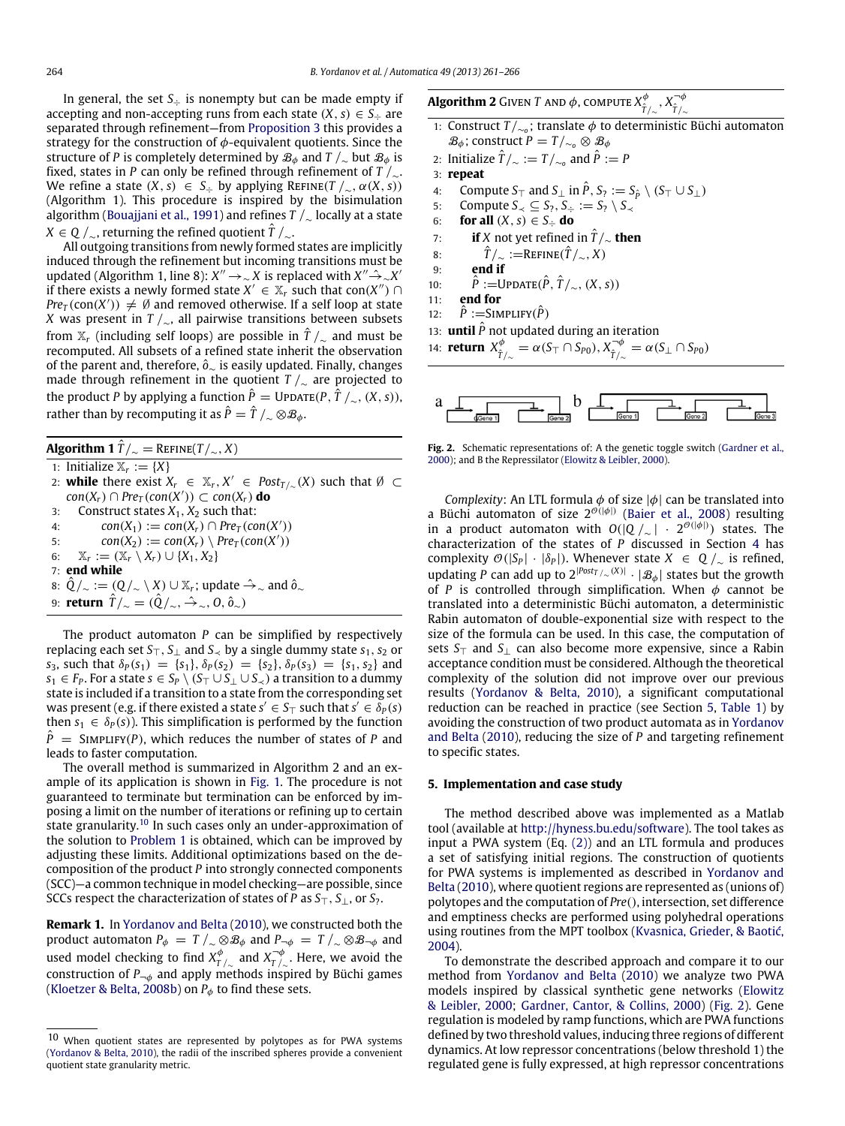In general, the set  $S_{\div}$  is nonempty but can be made empty if accepting and non-accepting runs from each state  $(X, s) \in S_+$  are separated through refinement—from [Proposition 3](#page-2-7) this provides a strategy for the construction of  $\phi$ -equivalent quotients. Since the structure of *P* is completely determined by  $\mathcal{B}_{\phi}$  and  $T /_{\sim}$  but  $\mathcal{B}_{\phi}$  is fixed, states in *P* can only be refined through refinement of *T* /∼. We refine a state  $(X, s) \in S_+$  by applying REFINE( $T / \sim, \alpha(X, s)$ ) (Algorithm 1). This procedure is inspired by the bisimulation algorithm [\(Bouajjani](#page-4-5) [et al.,](#page-4-5) [1991\)](#page-4-5) and refines *T* /<sup>∼</sup> locally at a state *X* ∈ *Q* /∼, returning the refined quotient  $\hat{T}$  /∼.

All outgoing transitions from newly formed states are implicitly induced through the refinement but incoming transitions must be updated (Algorithm 1, line 8):  $X'' \to \sim X$  is replaced with  $X'' \hat{\to} \sim X'$ if there exists a newly formed state  $X' \in \mathbb{X}_r$  such that con $(X'') \cap$ *Pre*<sub>*T*</sub> (con(*X'*))  $\neq \emptyset$  and removed otherwise. If a self loop at state *X* was present in *T* /<sub>∼</sub>, all pairwise transitions between subsets from  $\mathbb{X}_r$  (including self loops) are possible in  $\hat{T}/\gamma$  and must be recomputed. All subsets of a refined state inherit the observation of the parent and, therefore, *o*ˆ<sup>∼</sup> is easily updated. Finally, changes made through refinement in the quotient *T* /<sup>∼</sup> are projected to the product *P* by applying a function  $\hat{P} = \text{UPDATE}(P, \hat{T} /_{\sim}, (X, s)),$ rather than by recomputing it as  $\hat{P} = \hat{T}/\sim \otimes \mathcal{B}_{\phi}$ .

**Algorithm 1**  $\hat{T}/\sim$  = REFINE( $T/\sim$ , *X*)

1: Initialize  $\mathbb{X}_r := \{X\}$ 2: **while** there exist  $X_r \in \mathbb{X}_r, X' \in Post_{T/\sim}(X)$  such that  $\emptyset \subset$ *con*(*Xr*) ∩ *Pre<sup>T</sup>* (*con*(*X* ′ )) ⊂ *con*(*Xr*) **do** 3: Construct states  $X_1, X_2$  such that: 4:  $con(X_1) := con(X_r) \cap Pre_T(con(X'))$ 5:  $con(X_2) := con(X_r) \setminus Pre_T(con(X'))$ 6:  $X_r := (X_r \setminus X_r) \cup \{X_1, X_2\}$ 7: **end while** 8:  $\hat{Q}/_{\sim}$  := ( $Q/\sim \setminus X$ ) ∪  $\mathbb{X}_r$ ; update  $\hat{\rightarrow}_{\sim}$  and  $\hat{o}_{\sim}$ 9: **return**  $\hat{T}/_{\sim} = (\hat{Q}/_{\sim}, \hat{\rightarrow}_{\sim}, 0, \hat{o}_{\sim})$ 

The product automaton *P* can be simplified by respectively replacing each set  $S_T$ ,  $S_\perp$  and  $S_\prec$  by a single dummy state  $s_1$ ,  $s_2$  or *s*<sub>3</sub>, such that  $\delta_P(s_1) = \{s_1\}, \delta_P(s_2) = \{s_2\}, \delta_P(s_3) = \{s_1, s_2\}$  and *s*<sub>1</sub> ∈ *F*<sub>*P*</sub>. For a state *s* ∈ *S*<sub>*P*</sub>  $\setminus$  (*S*<sub> $\top$ </sub>  $\cup$  *S*<sub> $\prec$ </sub>  $\setminus$  *S*<sub> $\prec$ </sub>  $\setminus$  *a* transition to a dummy state is included if a transition to a state from the corresponding set was present (e.g. if there existed a state  $s' \in S_{\top}$  such that  $s' \in \delta_P(s)$ then  $s_1 \in \delta_P(s)$ ). This simplification is performed by the function  $P^{\dagger}$  = SIMPLIFY(*P*), which reduces the number of states of *P* and leads to faster computation.

The overall method is summarized in Algorithm 2 and an example of its application is shown in [Fig. 1.](#page-2-0) The procedure is not guaranteed to terminate but termination can be enforced by imposing a limit on the number of iterations or refining up to certain state granularity.<sup>[10](#page-3-0)</sup> In such cases only an under-approximation of the solution to [Problem 1](#page-1-7) is obtained, which can be improved by adjusting these limits. Additional optimizations based on the decomposition of the product *P* into strongly connected components (SCC)—a common technique in model checking—are possible, since SCCs respect the characterization of states of *P* as *S*⊤, *S*⊥, or *S*?.

<span id="page-3-3"></span>**Remark 1.** In [Yordanov](#page-5-6) [and](#page-5-6) [Belta](#page-5-6) [\(2010\)](#page-5-6), we constructed both the product automaton  $P_{\phi} = T /_{\sim} \otimes B_{\phi}$  and  $P_{\neg \phi} = T /_{\sim} \otimes B_{\neg \phi}$  and used model checking to find  $X_{T/\sim}^{\phi}$  and  $X_{T/\sim}^{\neg \phi}$  . Here, we avoid the construction of  $P_{\neg\phi}$  and apply methods inspired by Büchi games [\(Kloetzer](#page-4-13) [&](#page-4-13) [Belta,](#page-4-13) [2008b\)](#page-4-13) on  $P_{\phi}$  to find these sets.

**Algorithm 2** Given  $T$  and  $\phi$ , compute  $X_{\hat{T}/_{\sim}}^{\phi}$ ,  $X_{\hat{T}/_{\sim}}^{\neg \phi}$ *<sup>T</sup>*ˆ/<sup>∼</sup>

- 1: Construct *T* /<sup>∼</sup>*<sup>o</sup>* ; translate φ to deterministic Büchi automaton  $\mathcal{B}_\phi$ ; construct  $P = T/_{\sim \rho} \otimes \mathcal{B}_\phi$
- 2: Initialize  $\hat{T}/_{\sim} := T/_{\sim_o}$  and  $\hat{P} := P$
- 3: **repeat**
- 4: Compute  $S_{\top}$  and  $S_{\bot}$  in  $\hat{P}, S_2 := S_{\hat{P}} \setminus (S_{\top} \cup S_{\bot})$ <br>5: Compute  $S_{\prec} \subseteq S_2, S_{\preceq} := S_2 \setminus S_{\prec}$
- 5: Compute  $S_\prec \subseteq S_7$ ,  $S_\div := S_7 \setminus S_\prec$ <br>6: **for all**  $(X, s) \in S_\div$  **do**
- **for all**  $(X, s) \in S_{\div}$  **do**
- 7: **if** *X* not yet refined in  $\hat{T}/\sim$  **then**
- 8:  $\hat{T}/\sim$  :=REFINE( $\hat{T}/\sim$ , *X*)
- 9: **end if**
- 10:  $\hat{P}$  :=Update( $\hat{P}$ ,  $\hat{T}/_{\sim}$ ,  $(X, s)$ )
- 11: **end for**
- 12:  $\hat{P}$  :=SIMPLIFY( $\hat{P}$ )
- 13: **until**  $\hat{P}$  not updated during an iteration

14: return 
$$
X_{\hat{T}/\sim}^{\phi} = \alpha(S_{\top} \cap S_{P0}), X_{\hat{T}/\sim}^{-\phi} = \alpha(S_{\bot} \cap S_{P0})
$$

<span id="page-3-2"></span>

**Fig. 2.** Schematic representations of: A the genetic toggle switch [\(Gardner](#page-4-14) [et al.,](#page-4-14) [2000\)](#page-4-14); and B the Repressilator [\(Elowitz](#page-4-15) [&](#page-4-15) [Leibler,](#page-4-15) [2000\)](#page-4-15).

*Complexity:* An LTL formula  $\phi$  of size  $|\phi|$  can be translated into a Büchi automaton of size  $2^{\mathcal{O}(|\phi|)}$  [\(Baier](#page-4-4) [et al.,](#page-4-4) [2008\)](#page-4-4) resulting in a product automaton with  $O(|Q /_{\sim}| + 2^{\mathcal{O}(|\phi|)})$  states. The characterization of the states of *P* discussed in Section [4](#page-2-8) has complexity  $\mathcal{O}(|S_P| \cdot |\delta_P|)$ . Whenever state  $X \in Q/\sim$  is refined, updating *P* can add up to 2<sup>|*Post<sub>T</sub>* /∼(*X*)|  $\cdot$  |  $\mathcal{B}_{\phi}$ | states but the growth</sup> of *P* is controlled through simplification. When  $\phi$  cannot be translated into a deterministic Büchi automaton, a deterministic Rabin automaton of double-exponential size with respect to the size of the formula can be used. In this case, the computation of sets *S*⊤ and *S*⊥ can also become more expensive, since a Rabin acceptance condition must be considered. Although the theoretical complexity of the solution did not improve over our previous results [\(Yordanov](#page-5-6) [&](#page-5-6) [Belta,](#page-5-6) [2010\)](#page-5-6), a significant computational reduction can be reached in practice (see Section [5,](#page-3-1) [Table 1\)](#page-4-16) by avoiding the construction of two product automata as in [Yordanov](#page-5-6) [and](#page-5-6) [Belta](#page-5-6) [\(2010\)](#page-5-6), reducing the size of *P* and targeting refinement to specific states.

#### <span id="page-3-1"></span>**5. Implementation and case study**

The method described above was implemented as a Matlab tool (available at [http://hyness.bu.edu/software\)](http://hyness.bu.edu/software). The tool takes as input a PWA system (Eq. [\(2\)\)](#page-1-2) and an LTL formula and produces a set of satisfying initial regions. The construction of quotients for PWA systems is implemented as described in [Yordanov](#page-5-6) [and](#page-5-6) [Belta](#page-5-6) [\(2010\)](#page-5-6), where quotient regions are represented as (unions of) polytopes and the computation of *Pre*(), intersection, set difference and emptiness checks are performed using polyhedral operations using routines from the MPT toolbox [\(Kvasnica,](#page-4-17) [Grieder,](#page-4-17) [&](#page-4-17) [Baotić,](#page-4-17) [2004\)](#page-4-17).

To demonstrate the described approach and compare it to our method from [Yordanov](#page-5-6) [and](#page-5-6) [Belta](#page-5-6) [\(2010\)](#page-5-6) we analyze two PWA models inspired by classical synthetic gene networks [\(Elowitz](#page-4-15) [&](#page-4-15) [Leibler,](#page-4-15) [2000;](#page-4-15) [Gardner,](#page-4-14) [Cantor,](#page-4-14) [&](#page-4-14) [Collins,](#page-4-14) [2000\)](#page-4-14) [\(Fig. 2\)](#page-3-2). Gene regulation is modeled by ramp functions, which are PWA functions defined by two threshold values, inducing three regions of different dynamics. At low repressor concentrations (below threshold 1) the regulated gene is fully expressed, at high repressor concentrations

<span id="page-3-0"></span><sup>10</sup> When quotient states are represented by polytopes as for PWA systems [\(Yordanov](#page-5-6) [&](#page-5-6) [Belta,](#page-5-6) [2010\)](#page-5-6), the radii of the inscribed spheres provide a convenient quotient state granularity metric.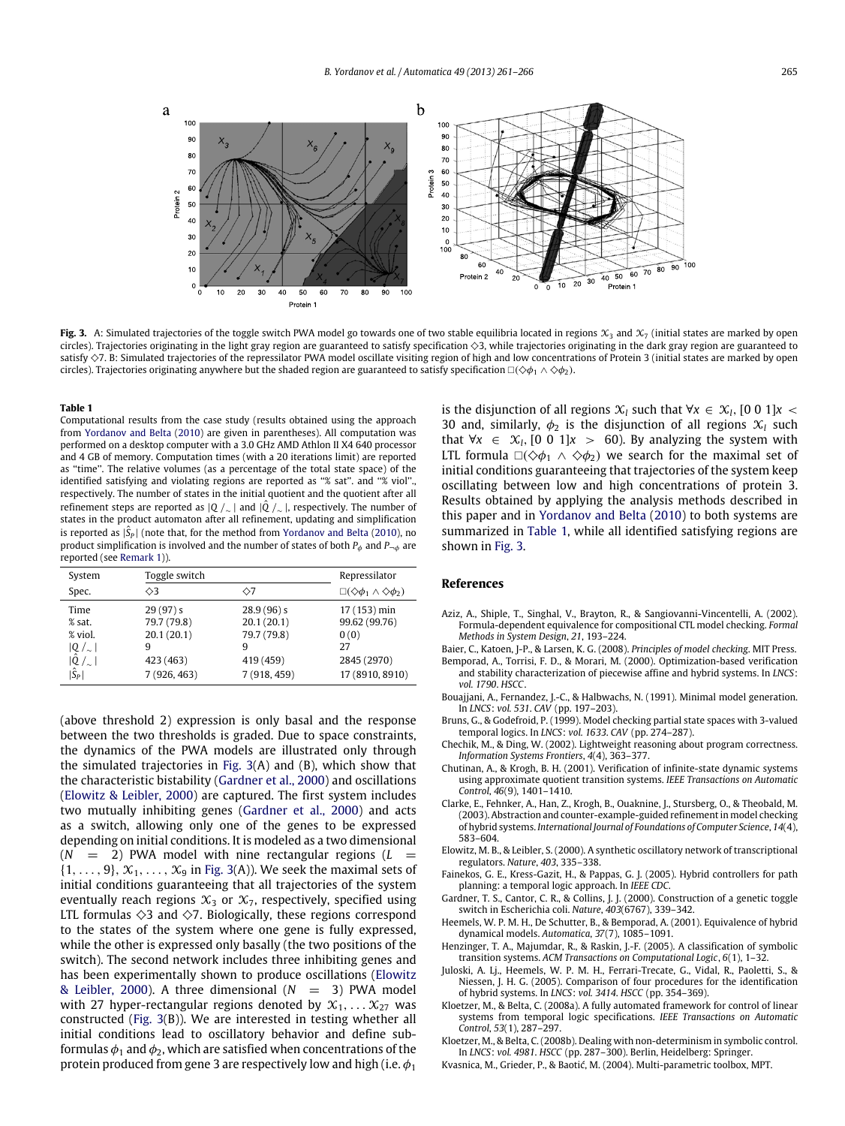<span id="page-4-18"></span>

**Fig. 3.** A: Simulated trajectories of the toggle switch PWA model go towards one of two stable equilibria located in regions  $\mathcal{X}_3$  and  $\mathcal{X}_7$  (initial states are marked by open circles). Trajectories originating in the light gray region are guaranteed to satisfy specification  $\Diamond$ 3, while trajectories originating in the dark gray region are guaranteed to satisfy  $\Diamond$ 7. B: Simulated trajectories of the repressilator PWA model oscillate visiting region of high and low concentrations of Protein 3 (initial states are marked by open circles). Trajectories originating anywhere but the shaded region are guaranteed to satisfy specification  $\Box(\Diamond\phi_1 \land \Diamond\phi_2)$ .

#### <span id="page-4-16"></span>**Table 1**

Computational results from the case study (results obtained using the approach from [Yordanov](#page-5-6) [and](#page-5-6) [Belta](#page-5-6) [\(2010\)](#page-5-6) are given in parentheses). All computation was performed on a desktop computer with a 3.0 GHz AMD Athlon II X4 640 processor and 4 GB of memory. Computation times (with a 20 iterations limit) are reported as ''time''. The relative volumes (as a percentage of the total state space) of the identified satisfying and violating regions are reported as "% sat". and "% viol". respectively. The number of states in the initial quotient and the quotient after all refinement steps are reported as |*<sup>Q</sup>* /<sup>∼</sup> | and |*Q*ˆ /<sup>∼</sup> |, respectively. The number of states in the product automaton after all refinement, updating and simplification is reported as  $|\hat{\mathsf{S}}_P|$  (note that, for the method from [Yordanov](#page-5-6) [and](#page-5-6) [Belta](#page-5-6) [\(2010\)](#page-5-6), no product simplification is involved and the number of states of both  $P_{\phi}$  and  $P_{\neg \phi}$  are reported (see [Remark 1\)](#page-3-3)).

| System                 | Toggle switch |              | Repressilator                                             |
|------------------------|---------------|--------------|-----------------------------------------------------------|
| Spec.                  | $\Diamond$ 3  | ◇7           | $\square(\diamondsuit \phi_1 \wedge \diamondsuit \phi_2)$ |
| Time                   | 29(97)s       | 28.9(96)s    | 17 (153) min                                              |
| % sat.                 | 79.7 (79.8)   | 20.1(20.1)   | 99.62 (99.76)                                             |
| % viol.                | 20.1(20.1)    | 79.7 (79.8)  | 0(0)                                                      |
| $ Q $ <sub>~</sub> $ $ | 9             | 9            | 27                                                        |
| $ \hat{Q} /_{\sim} $   | 423 (463)     | 419 (459)    | 2845 (2970)                                               |
| $ \hat{S}_P $          | 7 (926, 463)  | 7 (918, 459) | 17 (8910, 8910)                                           |

(above threshold 2) expression is only basal and the response between the two thresholds is graded. Due to space constraints, the dynamics of the PWA models are illustrated only through the simulated trajectories in [Fig. 3\(](#page-4-18)A) and (B), which show that the characteristic bistability [\(Gardner](#page-4-14) [et al.,](#page-4-14) [2000\)](#page-4-14) and oscillations [\(Elowitz](#page-4-15) [&](#page-4-15) [Leibler,](#page-4-15) [2000\)](#page-4-15) are captured. The first system includes two mutually inhibiting genes [\(Gardner](#page-4-14) [et al.,](#page-4-14) [2000\)](#page-4-14) and acts as a switch, allowing only one of the genes to be expressed depending on initial conditions. It is modeled as a two dimensional  $(N = 2)$  PWA model with nine rectangular regions  $(L = 1)$  $\{1, \ldots, 9\}, \mathcal{X}_1, \ldots, \mathcal{X}_9$  in [Fig. 3\(](#page-4-18)A)). We seek the maximal sets of initial conditions guaranteeing that all trajectories of the system eventually reach regions  $\mathfrak{X}_3$  or  $\mathfrak{X}_7$ , respectively, specified using LTL formulas  $\diamond$ 3 and  $\diamond$ 7. Biologically, these regions correspond to the states of the system where one gene is fully expressed, while the other is expressed only basally (the two positions of the switch). The second network includes three inhibiting genes and has been experimentally shown to produce oscillations [\(Elowitz](#page-4-15) [&](#page-4-15) [Leibler,](#page-4-15) [2000\)](#page-4-15). A three dimensional  $(N = 3)$  PWA model with 27 hyper-rectangular regions denoted by  $\mathcal{X}_1, \ldots \mathcal{X}_{27}$  was constructed [\(Fig. 3\(](#page-4-18)B)). We are interested in testing whether all initial conditions lead to oscillatory behavior and define subformulas  $\phi_1$  and  $\phi_2$ , which are satisfied when concentrations of the protein produced from gene 3 are respectively low and high (i.e.  $\phi_1$ ) is the disjunction of all regions  $\mathcal{X}_l$  such that ∀*x* ∈  $\mathcal{X}_l$ , [0 0 1]*x* < 30 and, similarly,  $\phi_2$  is the disjunction of all regions  $\mathcal{X}_l$  such that  $\forall x \in \mathcal{X}_l$ , [0 0 1]*x* > 60). By analyzing the system with LTL formula  $\Box(\Diamond \phi_1 \land \Diamond \phi_2)$  we search for the maximal set of initial conditions guaranteeing that trajectories of the system keep oscillating between low and high concentrations of protein 3. Results obtained by applying the analysis methods described in this paper and in [Yordanov](#page-5-6) [and](#page-5-6) [Belta](#page-5-6) [\(2010\)](#page-5-6) to both systems are summarized in [Table 1,](#page-4-16) while all identified satisfying regions are shown in [Fig. 3.](#page-4-18)

#### **References**

- <span id="page-4-7"></span>Aziz, A., Shiple, T., Singhal, V., Brayton, R., & Sangiovanni-Vincentelli, A. (2002). Formula-dependent equivalence for compositional CTL model checking. *Formal Methods in System Design*, *21*, 193–224.
- <span id="page-4-4"></span>Baier, C., Katoen, J-P., & Larsen, K. G. (2008). *Principles of model checking*. MIT Press. Bemporad, A., Torrisi, F. D., & Morari, M. (2000). Optimization-based verification
- <span id="page-4-11"></span>and stability characterization of piecewise affine and hybrid systems. In *LNCS*: *vol. 1790*. *HSCC*.
- <span id="page-4-5"></span>Bouajjani, A., Fernandez, J.-C., & Halbwachs, N. (1991). Minimal model generation. In *LNCS*: *vol. 531*. *CAV* (pp. 197–203).
- <span id="page-4-9"></span>Bruns, G., & Godefroid, P. (1999). Model checking partial state spaces with 3-valued temporal logics. In *LNCS*: *vol. 1633*. *CAV* (pp. 274–287).
- <span id="page-4-10"></span>Chechik, M., & Ding, W. (2002). Lightweight reasoning about program correctness. *Information Systems Frontiers*, *4*(4), 363–377.
- <span id="page-4-12"></span>Chutinan, A., & Krogh, B. H. (2001). Verification of infinite-state dynamic systems using approximate quotient transition systems. *IEEE Transactions on Automatic Control*, *46*(9), 1401–1410.
- <span id="page-4-6"></span>Clarke, E., Fehnker, A., Han, Z., Krogh, B., Ouaknine, J., Stursberg, O., & Theobald, M. (2003). Abstraction and counter-example-guided refinement in model checking of hybrid systems. *International Journal of Foundations of Computer Science*, *14*(4), 583–604.
- <span id="page-4-15"></span>Elowitz, M. B., & Leibler, S. (2000). A synthetic oscillatory network of transcriptional regulators. *Nature*, *403*, 335–338.
- <span id="page-4-0"></span>Fainekos, G. E., Kress-Gazit, H., & Pappas, G. J. (2005). Hybrid controllers for path planning: a temporal logic approach. In *IEEE CDC*.
- <span id="page-4-14"></span>Gardner, T. S., Cantor, C. R., & Collins, J. J. (2000). Construction of a genetic toggle switch in Escherichia coli. *Nature*, *403*(6767), 339–342.
- <span id="page-4-2"></span>Heemels, W. P. M. H., De Schutter, B., & Bemporad, A. (2001). Equivalence of hybrid dynamical models. *Automatica*, *37*(7), 1085–1091.
- <span id="page-4-8"></span>Henzinger, T. A., Majumdar, R., & Raskin, J.-F. (2005). A classification of symbolic transition systems. *ACM Transactions on Computational Logic*, *6*(1), 1–32.
- <span id="page-4-3"></span>Juloski, A. Lj., Heemels, W. P. M. H., Ferrari-Trecate, G., Vidal, R., Paoletti, S., & Niessen, J. H. G. (2005). Comparison of four procedures for the identification of hybrid systems. In *LNCS*: *vol. 3414*. *HSCC* (pp. 354–369).
- <span id="page-4-1"></span>Kloetzer, M., & Belta, C. (2008a). A fully automated framework for control of linear systems from temporal logic specifications. *IEEE Transactions on Automatic Control*, *53*(1), 287–297.
- <span id="page-4-13"></span>Kloetzer, M., & Belta, C. (2008b). Dealing with non-determinism in symbolic control. In *LNCS*: *vol. 4981*. *HSCC* (pp. 287–300). Berlin, Heidelberg: Springer.
- <span id="page-4-17"></span>Kvasnica, M., Grieder, P., & Baotić, M. (2004). Multi-parametric toolbox, MPT.